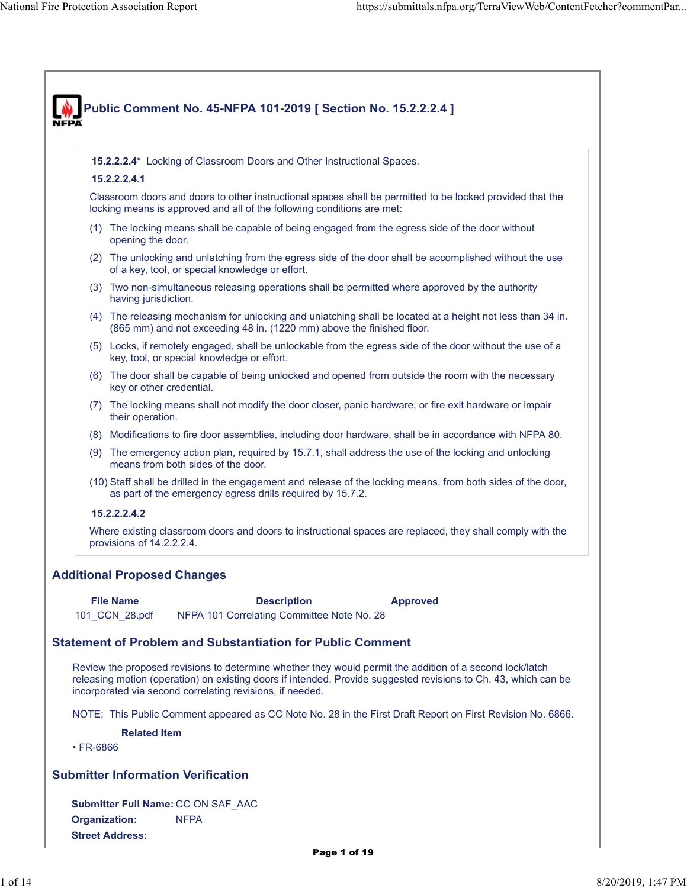|                 | 15.2.2.2.4* Locking of Classroom Doors and Other Instructional Spaces.                                                                                                                                                                                              |
|-----------------|---------------------------------------------------------------------------------------------------------------------------------------------------------------------------------------------------------------------------------------------------------------------|
|                 | 15.2.2.2.4.1                                                                                                                                                                                                                                                        |
|                 | Classroom doors and doors to other instructional spaces shall be permitted to be locked provided that the<br>locking means is approved and all of the following conditions are met:                                                                                 |
|                 | (1) The locking means shall be capable of being engaged from the egress side of the door without<br>opening the door.                                                                                                                                               |
|                 | (2) The unlocking and unlatching from the egress side of the door shall be accomplished without the use<br>of a key, tool, or special knowledge or effort.                                                                                                          |
|                 | (3) Two non-simultaneous releasing operations shall be permitted where approved by the authority<br>having jurisdiction.                                                                                                                                            |
|                 | (4) The releasing mechanism for unlocking and unlatching shall be located at a height not less than 34 in.<br>(865 mm) and not exceeding 48 in. (1220 mm) above the finished floor.                                                                                 |
|                 | (5) Locks, if remotely engaged, shall be unlockable from the egress side of the door without the use of a<br>key, tool, or special knowledge or effort.                                                                                                             |
|                 | (6) The door shall be capable of being unlocked and opened from outside the room with the necessary<br>key or other credential.                                                                                                                                     |
|                 | (7) The locking means shall not modify the door closer, panic hardware, or fire exit hardware or impair<br>their operation.                                                                                                                                         |
|                 | (8) Modifications to fire door assemblies, including door hardware, shall be in accordance with NFPA 80.                                                                                                                                                            |
|                 | (9) The emergency action plan, required by 15.7.1, shall address the use of the locking and unlocking<br>means from both sides of the door.                                                                                                                         |
|                 | (10) Staff shall be drilled in the engagement and release of the locking means, from both sides of the door,<br>as part of the emergency egress drills required by 15.7.2.                                                                                          |
|                 | 15.2.2.2.4.2                                                                                                                                                                                                                                                        |
|                 |                                                                                                                                                                                                                                                                     |
|                 | Where existing classroom doors and doors to instructional spaces are replaced, they shall comply with the<br>provisions of 14.2.2.2.4.                                                                                                                              |
|                 | <b>Additional Proposed Changes</b><br><b>File Name</b><br><b>Description</b><br><b>Approved</b><br>NFPA 101 Correlating Committee Note No. 28<br>101_CCN_28.pdf                                                                                                     |
|                 | <b>Statement of Problem and Substantiation for Public Comment</b>                                                                                                                                                                                                   |
|                 | Review the proposed revisions to determine whether they would permit the addition of a second lock/latch<br>incorporated via second correlating revisions, if needed.                                                                                               |
|                 |                                                                                                                                                                                                                                                                     |
|                 | <b>Related Item</b>                                                                                                                                                                                                                                                 |
| $\cdot$ FR-6866 |                                                                                                                                                                                                                                                                     |
|                 | <b>Submitter Information Verification</b>                                                                                                                                                                                                                           |
|                 | releasing motion (operation) on existing doors if intended. Provide suggested revisions to Ch. 43, which can be<br>NOTE: This Public Comment appeared as CC Note No. 28 in the First Draft Report on First Revision No. 6866.<br>Submitter Full Name: CC ON SAF_AAC |
|                 | <b>Organization:</b><br><b>NFPA</b>                                                                                                                                                                                                                                 |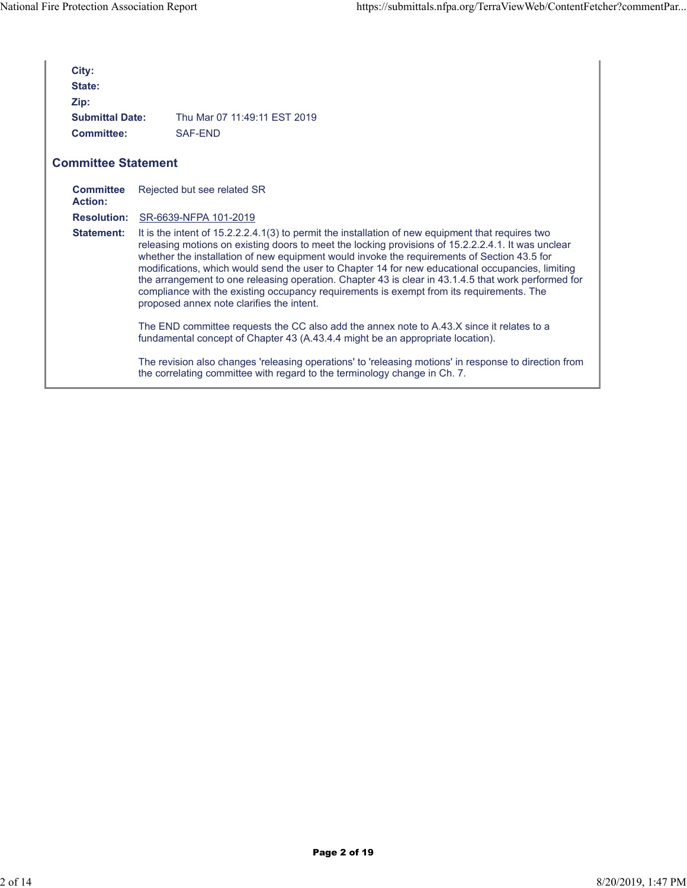| City:<br>State:<br>Zip:<br><b>Submittal Date:</b><br><b>Committee:</b> | Thu Mar 07 11:49:11 FST 2019<br>SAF-FND                                                                                                                                                                                                                                                                                                                                                                                                                                                                                                                                                                                                                    |
|------------------------------------------------------------------------|------------------------------------------------------------------------------------------------------------------------------------------------------------------------------------------------------------------------------------------------------------------------------------------------------------------------------------------------------------------------------------------------------------------------------------------------------------------------------------------------------------------------------------------------------------------------------------------------------------------------------------------------------------|
| <b>Committee Statement</b>                                             |                                                                                                                                                                                                                                                                                                                                                                                                                                                                                                                                                                                                                                                            |
| <b>Committee</b><br>Action:                                            | Rejected but see related SR                                                                                                                                                                                                                                                                                                                                                                                                                                                                                                                                                                                                                                |
|                                                                        | <b>Resolution:</b> SR-6639-NFPA 101-2019                                                                                                                                                                                                                                                                                                                                                                                                                                                                                                                                                                                                                   |
| <b>Statement:</b>                                                      | It is the intent of 15.2.2.2.4.1(3) to permit the installation of new equipment that requires two<br>releasing motions on existing doors to meet the locking provisions of 15.2.2.2.4.1. It was unclear<br>whether the installation of new equipment would invoke the requirements of Section 43.5 for<br>modifications, which would send the user to Chapter 14 for new educational occupancies, limiting<br>the arrangement to one releasing operation. Chapter 43 is clear in 43.1.4.5 that work performed for<br>compliance with the existing occupancy requirements is exempt from its requirements. The<br>proposed annex note clarifies the intent. |
|                                                                        | The END committee requests the CC also add the annex note to A.43.X since it relates to a<br>fundamental concept of Chapter 43 (A.43.4.4 might be an appropriate location).                                                                                                                                                                                                                                                                                                                                                                                                                                                                                |
|                                                                        | The revision also changes 'releasing operations' to 'releasing motions' in response to direction from<br>the correlating committee with regard to the terminology change in Ch. 7.                                                                                                                                                                                                                                                                                                                                                                                                                                                                         |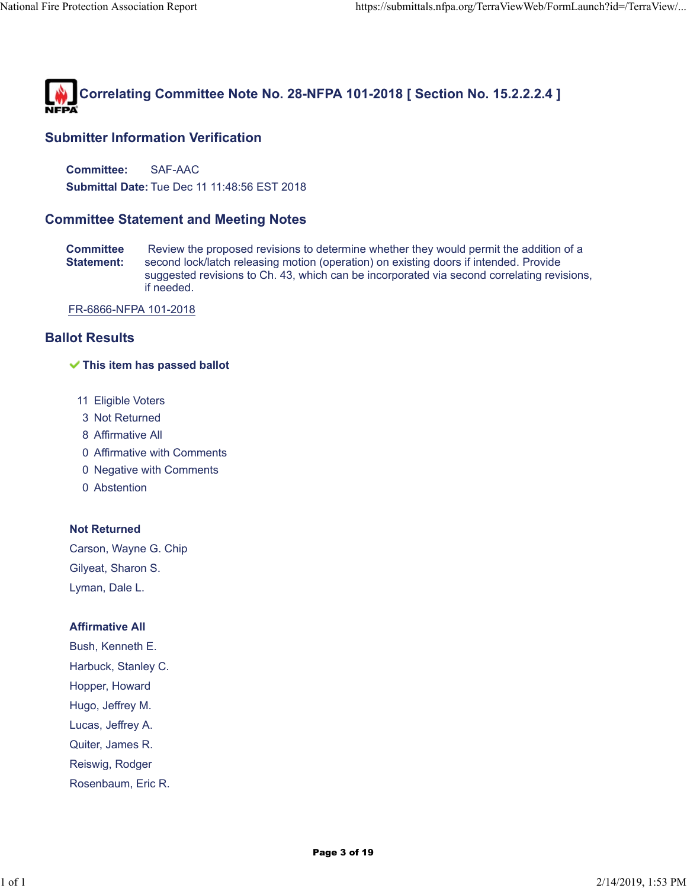

**Committee:** SAF-AAC

**Submittal Date:** Tue Dec 11 11:48:56 EST 2018

# **Committee Statement and Meeting Notes**

**Committee Statement:** Review the proposed revisions to determine whether they would permit the addition of a second lock/latch releasing motion (operation) on existing doors if intended. Provide suggested revisions to Ch. 43, which can be incorporated via second correlating revisions, if needed.

FR-6866-NFPA 101-2018

# **Ballot Results**

#### **This item has passed ballot**

- 11 Eligible Voters
- 3 Not Returned
- 8 Affirmative All
- 0 Affirmative with Comments
- 0 Negative with Comments
- 0 Abstention

### **Not Returned**

Carson, Wayne G. Chip Gilyeat, Sharon S. Lyman, Dale L.

#### **Affirmative All**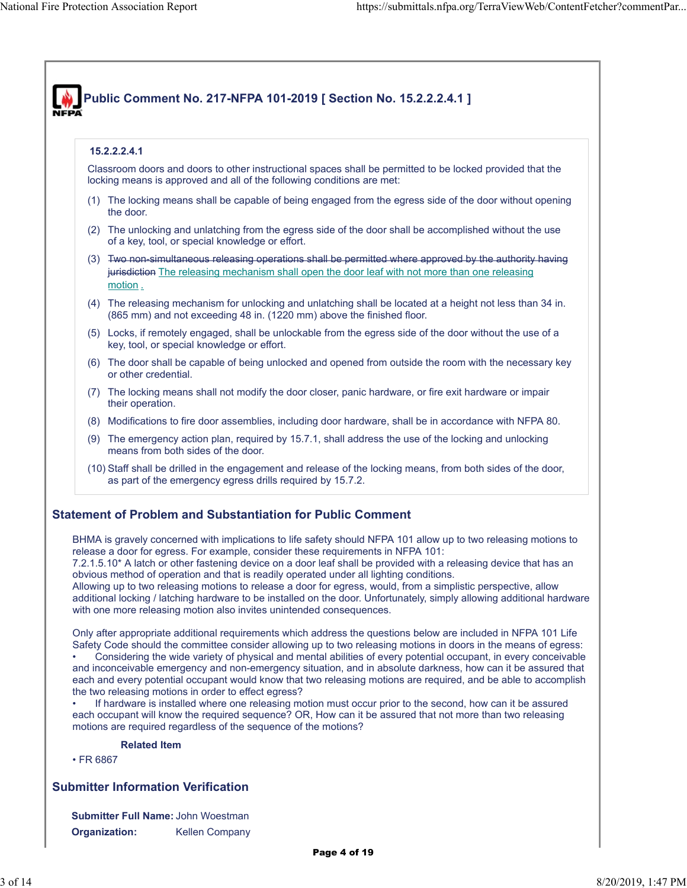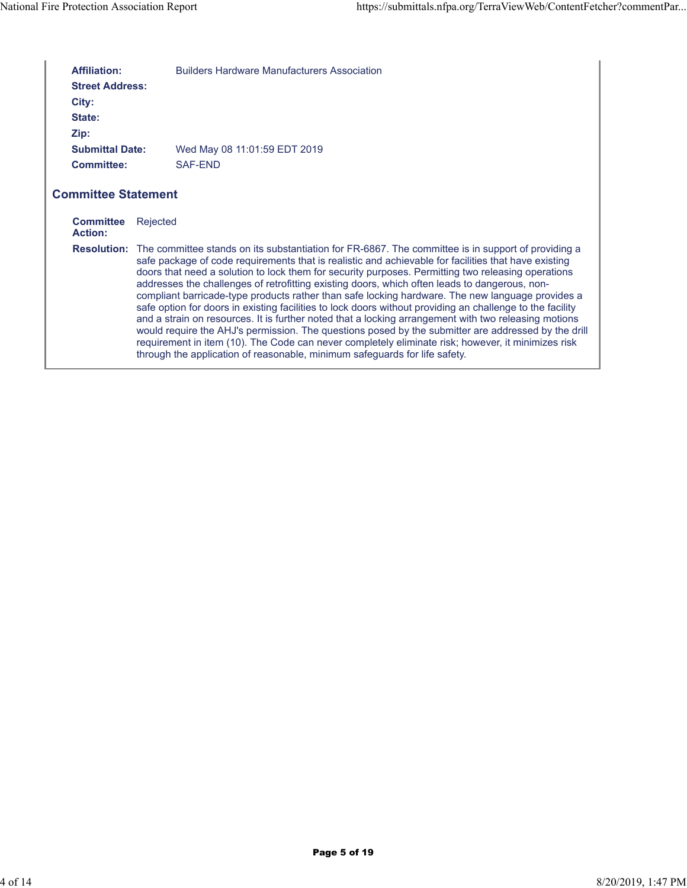| <b>Affiliation:</b><br><b>Street Address:</b><br>City:<br>State:<br>Zip: | <b>Builders Hardware Manufacturers Association</b>                                                                                                                                                                                                                                                                                                                                                                                                                                                                                                                                                                                                                                                                                                                                                                                                                                                                                                                                                                                                       |
|--------------------------------------------------------------------------|----------------------------------------------------------------------------------------------------------------------------------------------------------------------------------------------------------------------------------------------------------------------------------------------------------------------------------------------------------------------------------------------------------------------------------------------------------------------------------------------------------------------------------------------------------------------------------------------------------------------------------------------------------------------------------------------------------------------------------------------------------------------------------------------------------------------------------------------------------------------------------------------------------------------------------------------------------------------------------------------------------------------------------------------------------|
| <b>Submittal Date:</b>                                                   | Wed May 08 11:01:59 EDT 2019                                                                                                                                                                                                                                                                                                                                                                                                                                                                                                                                                                                                                                                                                                                                                                                                                                                                                                                                                                                                                             |
| <b>Committee:</b>                                                        | SAF-END                                                                                                                                                                                                                                                                                                                                                                                                                                                                                                                                                                                                                                                                                                                                                                                                                                                                                                                                                                                                                                                  |
| <b>Committee Statement</b><br><b>Committee</b><br>Action:                | Rejected                                                                                                                                                                                                                                                                                                                                                                                                                                                                                                                                                                                                                                                                                                                                                                                                                                                                                                                                                                                                                                                 |
|                                                                          | <b>Resolution:</b> The committee stands on its substantiation for FR-6867. The committee is in support of providing a<br>safe package of code requirements that is realistic and achievable for facilities that have existing<br>doors that need a solution to lock them for security purposes. Permitting two releasing operations<br>addresses the challenges of retrofitting existing doors, which often leads to dangerous, non-<br>compliant barricade-type products rather than safe locking hardware. The new language provides a<br>safe option for doors in existing facilities to lock doors without providing an challenge to the facility<br>and a strain on resources. It is further noted that a locking arrangement with two releasing motions<br>would require the AHJ's permission. The questions posed by the submitter are addressed by the drill<br>requirement in item (10). The Code can never completely eliminate risk; however, it minimizes risk<br>through the application of reasonable, minimum safeguards for life safety. |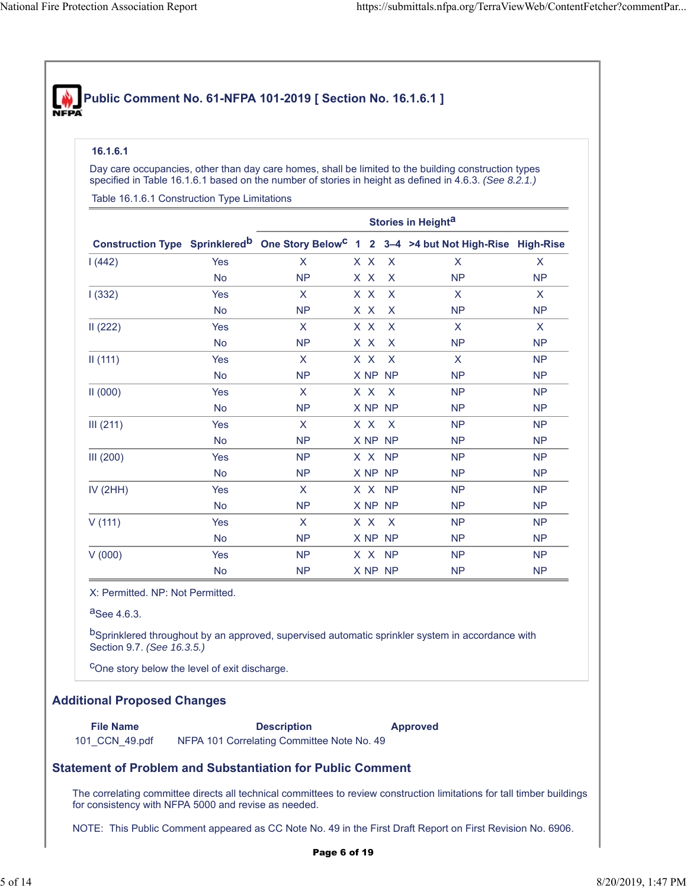# **Public Comment No. 61-NFPA 101-2019 [ Section No. 16.1.6.1 ]**

#### **16.1.6.1**

Day care occupancies, other than day care homes, shall be limited to the building construction types specified in Table 16.1.6.1 based on the number of stories in height as defined in 4.6.3. *(See 8.2.1.)*

Table 16.1.6.1 Construction Type Limitations

|            |            | Stories in Height <sup>a</sup> |  |  |         |                                                                                                                |              |  |
|------------|------------|--------------------------------|--|--|---------|----------------------------------------------------------------------------------------------------------------|--------------|--|
|            |            |                                |  |  |         | Construction Type Sprinklered <sup>b</sup> One Story Below <sup>C</sup> 1 2 3-4 >4 but Not High-Rise High-Rise |              |  |
| 1(442)     | Yes        | $\mathsf{X}$                   |  |  | X X X   | $\mathsf{X}$                                                                                                   | $\mathsf{X}$ |  |
|            | <b>No</b>  | <b>NP</b>                      |  |  | X X X   | <b>NP</b>                                                                                                      | <b>NP</b>    |  |
| 1(332)     | <b>Yes</b> | $\mathsf{X}$                   |  |  | X X X   | $\mathsf{X}$                                                                                                   | X            |  |
|            | <b>No</b>  | <b>NP</b>                      |  |  | X X X   | <b>NP</b>                                                                                                      | <b>NP</b>    |  |
| II(222)    | <b>Yes</b> | $\mathsf{X}$                   |  |  | X X X   | $\mathsf{X}$                                                                                                   | X            |  |
|            | <b>No</b>  | <b>NP</b>                      |  |  | X X X   | <b>NP</b>                                                                                                      | <b>NP</b>    |  |
| II(111)    | Yes        | $\mathsf{X}$                   |  |  | X X X   | $\mathsf{X}$                                                                                                   | <b>NP</b>    |  |
|            | <b>No</b>  | <b>NP</b>                      |  |  | X NP NP | <b>NP</b>                                                                                                      | <b>NP</b>    |  |
| II(000)    | <b>Yes</b> | $\mathsf{X}$                   |  |  | X X X   | <b>NP</b>                                                                                                      | <b>NP</b>    |  |
|            | <b>No</b>  | <b>NP</b>                      |  |  | X NP NP | <b>NP</b>                                                                                                      | <b>NP</b>    |  |
| III (211)  | <b>Yes</b> | $\mathsf{X}$                   |  |  | X X X   | <b>NP</b>                                                                                                      | <b>NP</b>    |  |
|            | <b>No</b>  | <b>NP</b>                      |  |  | X NP NP | <b>NP</b>                                                                                                      | <b>NP</b>    |  |
| III (200)  | Yes        | <b>NP</b>                      |  |  | X X NP  | <b>NP</b>                                                                                                      | <b>NP</b>    |  |
|            | No         | <b>NP</b>                      |  |  | X NP NP | <b>NP</b>                                                                                                      | <b>NP</b>    |  |
| IV $(2HH)$ | Yes        | $\mathsf{X}$                   |  |  | X X NP  | <b>NP</b>                                                                                                      | <b>NP</b>    |  |
|            | <b>No</b>  | <b>NP</b>                      |  |  | X NP NP | <b>NP</b>                                                                                                      | <b>NP</b>    |  |
| V(111)     | <b>Yes</b> | $\mathsf{X}$                   |  |  | X X X   | <b>NP</b>                                                                                                      | <b>NP</b>    |  |
|            | No         | <b>NP</b>                      |  |  | X NP NP | <b>NP</b>                                                                                                      | <b>NP</b>    |  |
| V(000)     | <b>Yes</b> | <b>NP</b>                      |  |  | X X NP  | <b>NP</b>                                                                                                      | <b>NP</b>    |  |
|            | No         | <b>NP</b>                      |  |  | X NP NP | <b>NP</b>                                                                                                      | <b>NP</b>    |  |

X: Permitted. NP: Not Permitted.

 $a$ See 4.6.3.

bSprinklered throughout by an approved, supervised automatic sprinkler system in accordance with Section 9.7. *(See 16.3.5.)*

cOne story below the level of exit discharge.

#### **Additional Proposed Changes**

101 CCN 49.pdf NFPA 101 Correlating Committee Note No. 49

**File Name Description Approved**

**Statement of Problem and Substantiation for Public Comment**

The correlating committee directs all technical committees to review construction limitations for tall timber buildings for consistency with NFPA 5000 and revise as needed.

NOTE: This Public Comment appeared as CC Note No. 49 in the First Draft Report on First Revision No. 6906.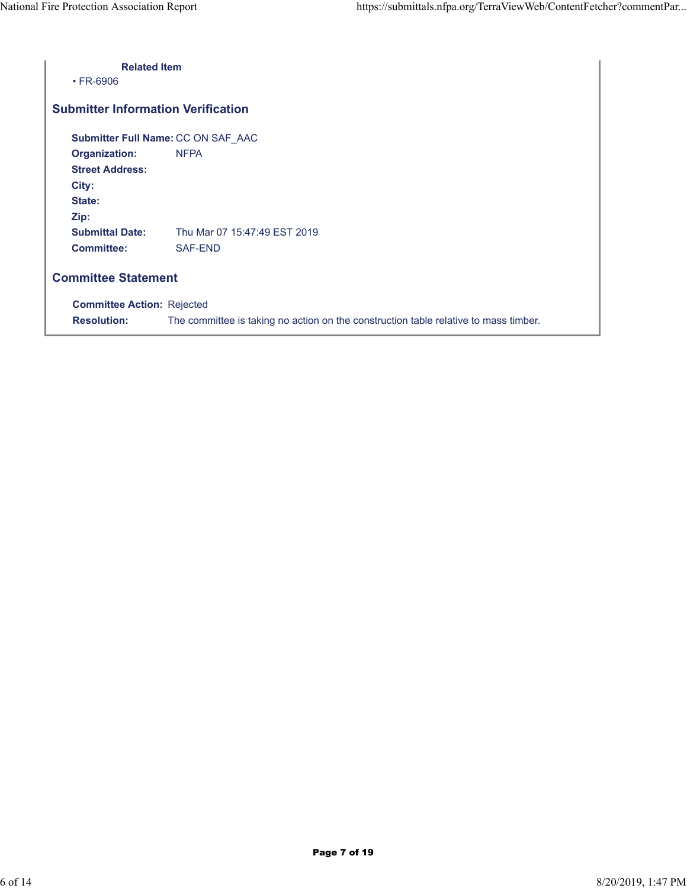| <b>Related Item</b><br>$\cdot$ FR-6906    |                                                                                      |  |  |  |  |
|-------------------------------------------|--------------------------------------------------------------------------------------|--|--|--|--|
| <b>Submitter Information Verification</b> |                                                                                      |  |  |  |  |
|                                           | Submitter Full Name: CC ON SAF_AAC                                                   |  |  |  |  |
| <b>Organization:</b>                      | <b>NFPA</b>                                                                          |  |  |  |  |
| <b>Street Address:</b>                    |                                                                                      |  |  |  |  |
| City:                                     |                                                                                      |  |  |  |  |
| State:                                    |                                                                                      |  |  |  |  |
| Zip:                                      |                                                                                      |  |  |  |  |
| <b>Submittal Date:</b>                    | Thu Mar 07 15:47:49 EST 2019                                                         |  |  |  |  |
| <b>Committee:</b>                         | SAF-END                                                                              |  |  |  |  |
| <b>Committee Statement</b>                |                                                                                      |  |  |  |  |
| <b>Committee Action: Rejected</b>         |                                                                                      |  |  |  |  |
| <b>Resolution:</b>                        | The committee is taking no action on the construction table relative to mass timber. |  |  |  |  |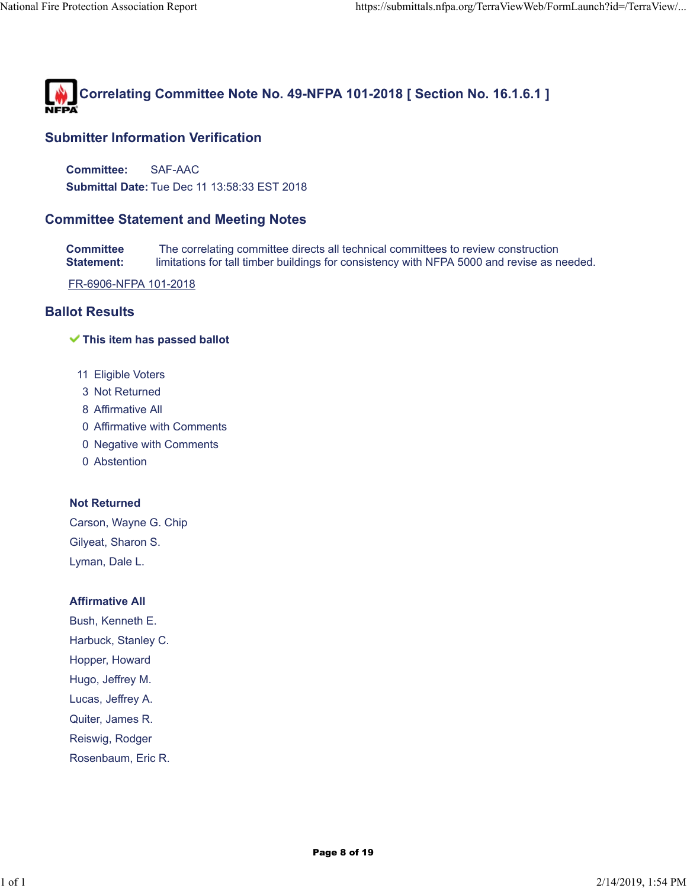

**Committee:** SAF-AAC **Submittal Date:** Tue Dec 11 13:58:33 EST 2018

# **Committee Statement and Meeting Notes**

**Committee Statement:** The correlating committee directs all technical committees to review construction limitations for tall timber buildings for consistency with NFPA 5000 and revise as needed.

FR-6906-NFPA 101-2018

# **Ballot Results**

#### **This item has passed ballot**

- 11 Eligible Voters
- 3 Not Returned
- 8 Affirmative All
- 0 Affirmative with Comments
- 0 Negative with Comments
- 0 Abstention

#### **Not Returned**

Carson, Wayne G. Chip Gilyeat, Sharon S. Lyman, Dale L.

#### **Affirmative All**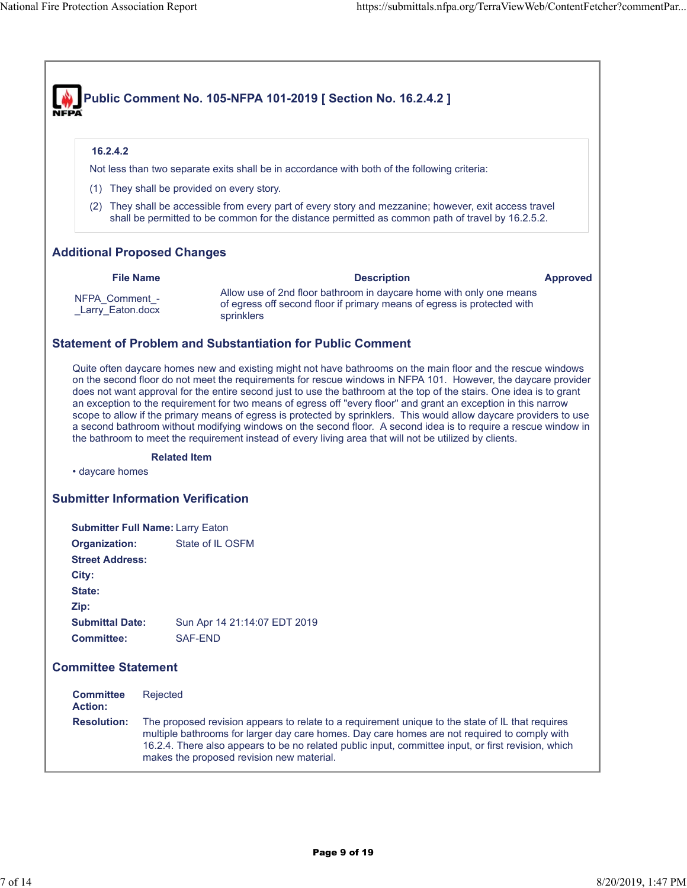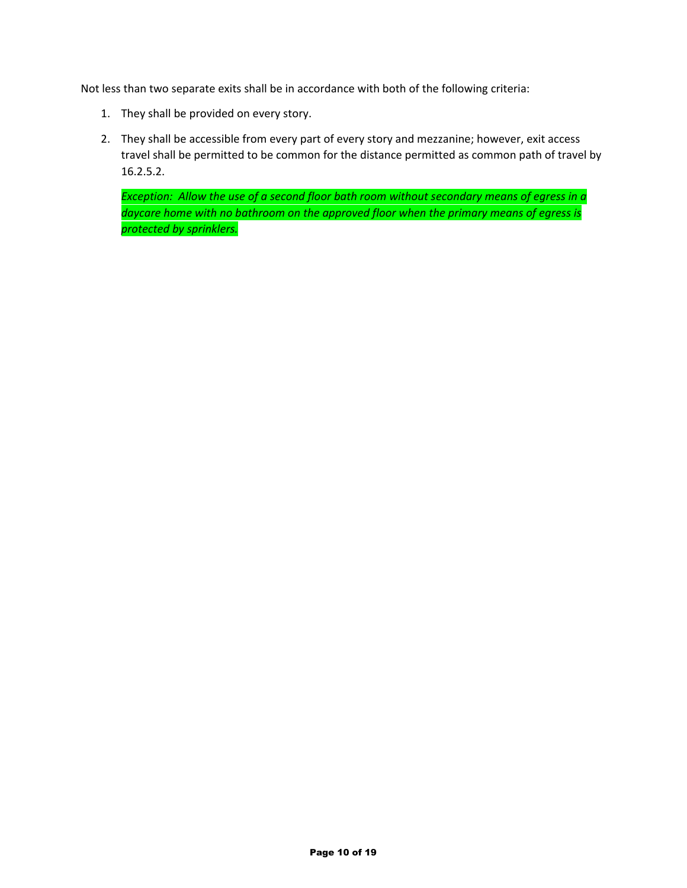Not less than two separate exits shall be in accordance with both of the following criteria:

- 1. They shall be provided on every story.
- 2. They shall be accessible from every part of every story and mezzanine; however, exit access travel shall be permitted to be common for the distance permitted as common path of travel by 16.2.5.2.

*Exception: Allow the use of a second floor bath room without secondary means of egress in a daycare home with no bathroom on the approved floor when the primary means of egress is protected by sprinklers.*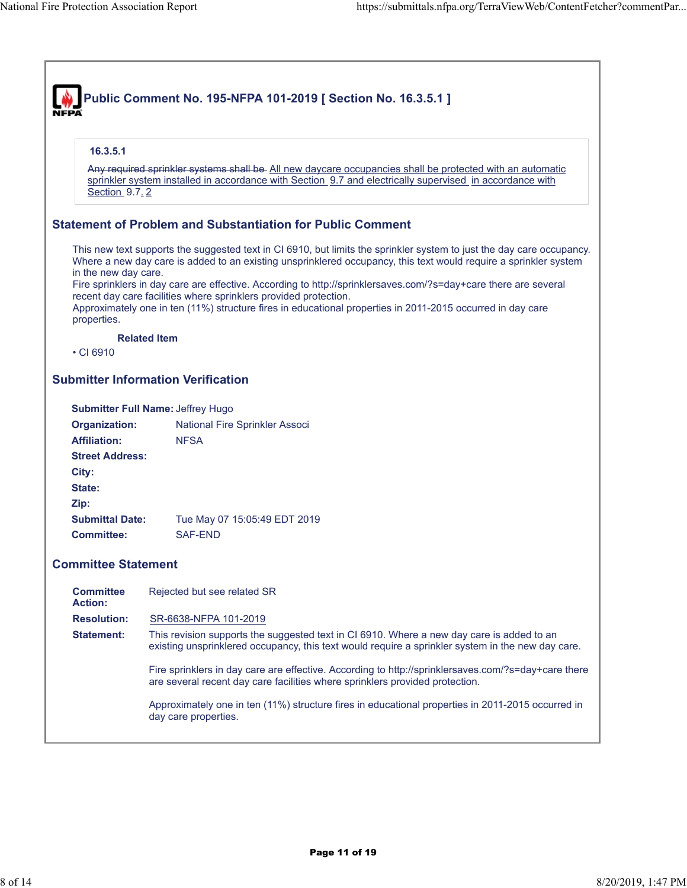| 16.3.5.1                           |                                                                                                                                                                                                                                                                                                   |
|------------------------------------|---------------------------------------------------------------------------------------------------------------------------------------------------------------------------------------------------------------------------------------------------------------------------------------------------|
| Section 9.7.2                      | Any required sprinkler systems shall be- All new daycare occupancies shall be protected with an automatic<br>sprinkler system installed in accordance with Section 9.7 and electrically supervised in accordance with                                                                             |
|                                    | <b>Statement of Problem and Substantiation for Public Comment</b>                                                                                                                                                                                                                                 |
| in the new day care.               | This new text supports the suggested text in CI 6910, but limits the sprinkler system to just the day care occupancy.<br>Where a new day care is added to an existing unsprinklered occupancy, this text would require a sprinkler system                                                         |
|                                    | Fire sprinklers in day care are effective. According to http://sprinklersaves.com/?s=day+care there are several<br>recent day care facilities where sprinklers provided protection.<br>Approximately one in ten (11%) structure fires in educational properties in 2011-2015 occurred in day care |
| properties.                        |                                                                                                                                                                                                                                                                                                   |
| $\cdot$ CI 6910                    | <b>Related Item</b>                                                                                                                                                                                                                                                                               |
|                                    |                                                                                                                                                                                                                                                                                                   |
|                                    | <b>Submitter Information Verification</b>                                                                                                                                                                                                                                                         |
|                                    | Submitter Full Name: Jeffrey Hugo                                                                                                                                                                                                                                                                 |
| Organization:                      | National Fire Sprinkler Associ                                                                                                                                                                                                                                                                    |
| <b>Affiliation:</b>                | <b>NFSA</b>                                                                                                                                                                                                                                                                                       |
| <b>Street Address:</b>             |                                                                                                                                                                                                                                                                                                   |
| City:<br>State:                    |                                                                                                                                                                                                                                                                                                   |
| Zip:                               |                                                                                                                                                                                                                                                                                                   |
| <b>Submittal Date:</b>             | Tue May 07 15:05:49 EDT 2019                                                                                                                                                                                                                                                                      |
| <b>Committee:</b>                  | <b>SAF-END</b>                                                                                                                                                                                                                                                                                    |
| <b>Committee Statement</b>         |                                                                                                                                                                                                                                                                                                   |
| <b>Committee</b><br><b>Action:</b> | Rejected but see related SR                                                                                                                                                                                                                                                                       |
| <b>Resolution:</b>                 | SR-6638-NFPA 101-2019                                                                                                                                                                                                                                                                             |
| <b>Statement:</b>                  | This revision supports the suggested text in CI 6910. Where a new day care is added to an<br>existing unsprinklered occupancy, this text would require a sprinkler system in the new day care.                                                                                                    |
|                                    | Fire sprinklers in day care are effective. According to http://sprinklersaves.com/?s=day+care there<br>are several recent day care facilities where sprinklers provided protection.                                                                                                               |
|                                    | Approximately one in ten (11%) structure fires in educational properties in 2011-2015 occurred in<br>day care properties.                                                                                                                                                                         |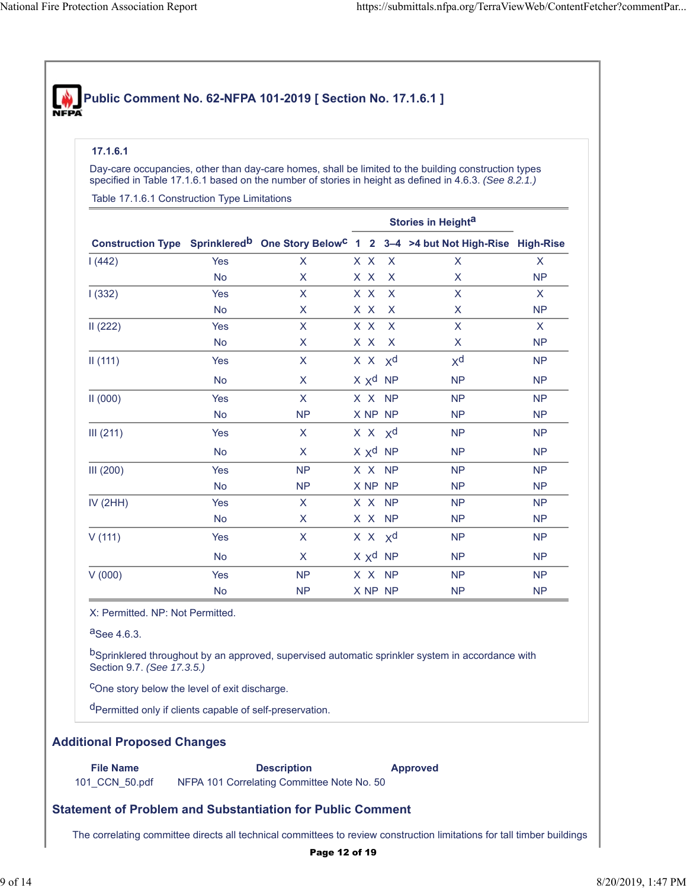# **Public Comment No. 62-NFPA 101-2019 [ Section No. 17.1.6.1 ]**

#### **17.1.6.1**

Day-care occupancies, other than day-care homes, shall be limited to the building construction types specified in Table 17.1.6.1 based on the number of stories in height as defined in 4.6.3. *(See 8.2.1.)*

Table 17.1.6.1 Construction Type Limitations

|            |            |              |     |                   | Construction Type Sprinklered <sup>b</sup> One Story Below <sup>C</sup> 1 2 3-4 > 4 but Not High-Rise High-Rise |              |
|------------|------------|--------------|-----|-------------------|-----------------------------------------------------------------------------------------------------------------|--------------|
| 1(442)     | Yes        | $\mathsf{X}$ |     | $X \times X$      | $\mathsf{x}$                                                                                                    | $\mathsf{x}$ |
|            | <b>No</b>  | X.           |     | X X X             | X.                                                                                                              | <b>NP</b>    |
| 1(332)     | <b>Yes</b> | $\mathsf{X}$ | XX  | $\mathsf{X}$      | X                                                                                                               | $\mathsf{X}$ |
|            | <b>No</b>  | X            | XX  | $\mathsf{X}$      | X                                                                                                               | <b>NP</b>    |
| II(222)    | <b>Yes</b> | X            | X X | $\mathsf{X}$      | X                                                                                                               | $\mathsf{X}$ |
|            | <b>No</b>  | X            |     | X X X             | X                                                                                                               | <b>NP</b>    |
| II(111)    | <b>Yes</b> | $\mathsf{X}$ |     | $X \times X$      | $X^d$                                                                                                           | <b>NP</b>    |
|            | <b>No</b>  | $\mathsf{X}$ |     | $X \times d$ NP   | <b>NP</b>                                                                                                       | <b>NP</b>    |
| II(000)    | Yes        | $\mathsf{X}$ |     | X X NP            | <b>NP</b>                                                                                                       | <b>NP</b>    |
|            | <b>No</b>  | <b>NP</b>    |     | X NP NP           | <b>NP</b>                                                                                                       | <b>NP</b>    |
| III (211)  | Yes        | $\mathsf{X}$ |     | $X \times X$      | <b>NP</b>                                                                                                       | <b>NP</b>    |
|            | <b>No</b>  | $\mathsf{X}$ |     | $X \times d$ NP   | <b>NP</b>                                                                                                       | <b>NP</b>    |
| III(200)   | Yes        | NP           |     | X X NP            | <b>NP</b>                                                                                                       | <b>NP</b>    |
|            | <b>No</b>  | <b>NP</b>    |     | X NP NP           | <b>NP</b>                                                                                                       | <b>NP</b>    |
| IV $(2HH)$ | <b>Yes</b> | $\mathsf{X}$ |     | X X NP            | <b>NP</b>                                                                                                       | <b>NP</b>    |
|            | <b>No</b>  | $\mathsf{X}$ |     | X X NP            | <b>NP</b>                                                                                                       | <b>NP</b>    |
| V(111)     | Yes        | $\mathsf{X}$ |     | $X \times X$      | <b>NP</b>                                                                                                       | <b>NP</b>    |
|            | <b>No</b>  | $\mathsf{X}$ |     | $X \times Y^d$ NP | <b>NP</b>                                                                                                       | <b>NP</b>    |
| V(000)     | Yes        | <b>NP</b>    |     | X X NP            | <b>NP</b>                                                                                                       | <b>NP</b>    |
|            | <b>No</b>  | <b>NP</b>    |     | X NP NP           | <b>NP</b>                                                                                                       | <b>NP</b>    |

X: Permitted. NP: Not Permitted.

aSee 4.6.3.

bSprinklered throughout by an approved, supervised automatic sprinkler system in accordance with Section 9.7. *(See 17.3.5.)*

cOne story below the level of exit discharge.

dPermitted only if clients capable of self-preservation.

### **Additional Proposed Changes**

**File Name Description Approved** 101\_CCN\_50.pdf NFPA 101 Correlating Committee Note No. 50

# **Statement of Problem and Substantiation for Public Comment**

The correlating committee directs all technical committees to review construction limitations for tall timber buildings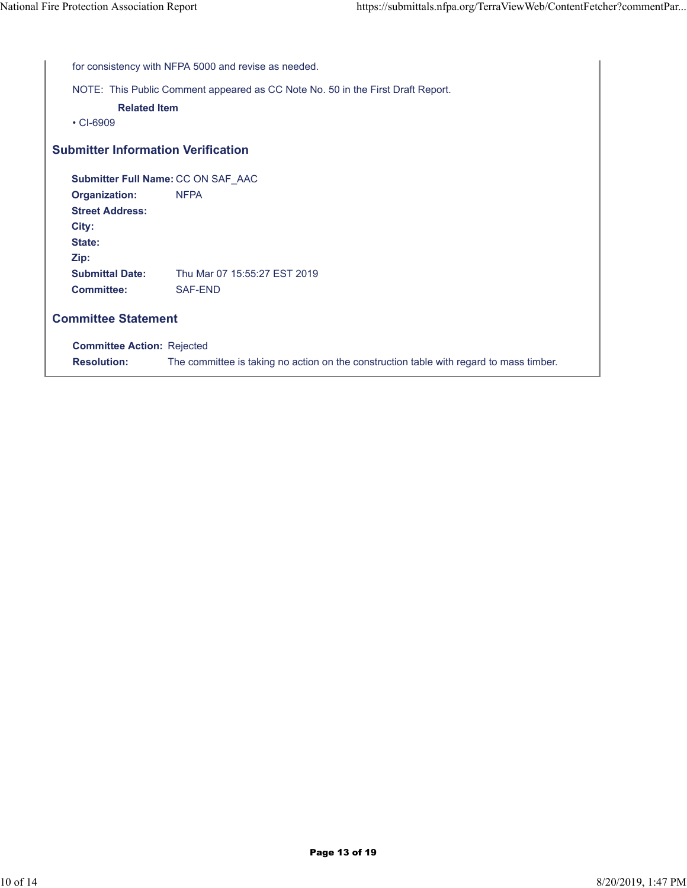|        | for consistency with NFPA 5000 and revise as needed.                            |                                                                                         |  |  |  |  |
|--------|---------------------------------------------------------------------------------|-----------------------------------------------------------------------------------------|--|--|--|--|
|        | NOTE: This Public Comment appeared as CC Note No. 50 in the First Draft Report. |                                                                                         |  |  |  |  |
|        | <b>Related Item</b>                                                             |                                                                                         |  |  |  |  |
|        | $\cdot$ CI-6909                                                                 |                                                                                         |  |  |  |  |
|        |                                                                                 | <b>Submitter Information Verification</b>                                               |  |  |  |  |
|        |                                                                                 | Submitter Full Name: CC ON SAF_AAC                                                      |  |  |  |  |
|        | Organization:                                                                   | <b>NFPA</b>                                                                             |  |  |  |  |
|        | <b>Street Address:</b>                                                          |                                                                                         |  |  |  |  |
| City:  |                                                                                 |                                                                                         |  |  |  |  |
| State: |                                                                                 |                                                                                         |  |  |  |  |
| Zip:   |                                                                                 |                                                                                         |  |  |  |  |
|        | <b>Submittal Date:</b>                                                          | Thu Mar 07 15:55:27 EST 2019                                                            |  |  |  |  |
|        | <b>Committee:</b>                                                               | SAF-END                                                                                 |  |  |  |  |
|        | <b>Committee Statement</b>                                                      |                                                                                         |  |  |  |  |
|        | <b>Committee Action: Rejected</b>                                               |                                                                                         |  |  |  |  |
|        | <b>Resolution:</b>                                                              | The committee is taking no action on the construction table with regard to mass timber. |  |  |  |  |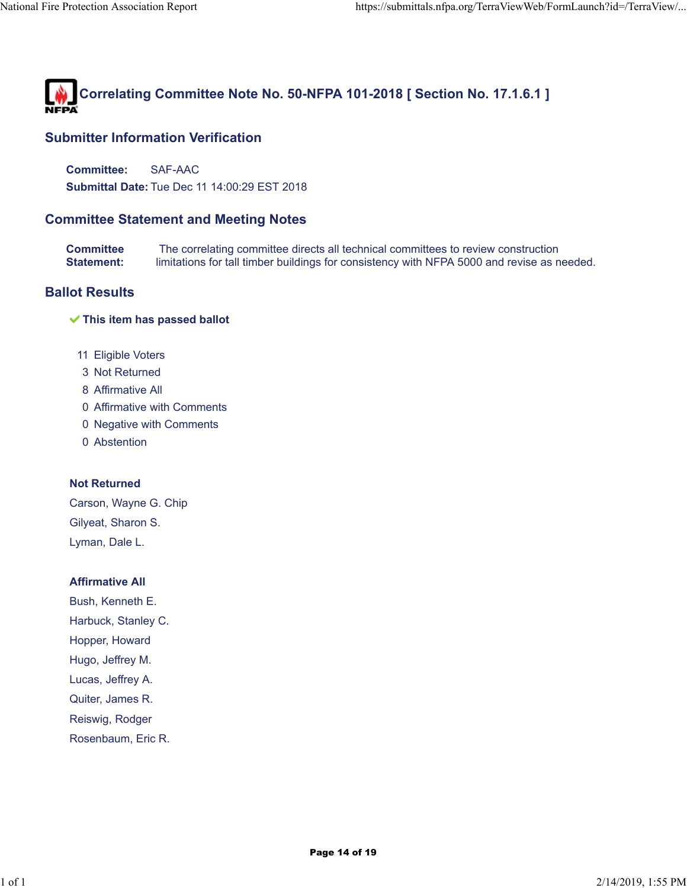

**Committee:** SAF-AAC **Submittal Date:** Tue Dec 11 14:00:29 EST 2018

# **Committee Statement and Meeting Notes**

**Committee Statement:** The correlating committee directs all technical committees to review construction limitations for tall timber buildings for consistency with NFPA 5000 and revise as needed.

# **Ballot Results**

#### **This item has passed ballot**

- 11 Eligible Voters
- 3 Not Returned
- 8 Affirmative All
- 0 Affirmative with Comments
- 0 Negative with Comments
- 0 Abstention

### **Not Returned**

Carson, Wayne G. Chip Gilyeat, Sharon S. Lyman, Dale L.

#### **Affirmative All**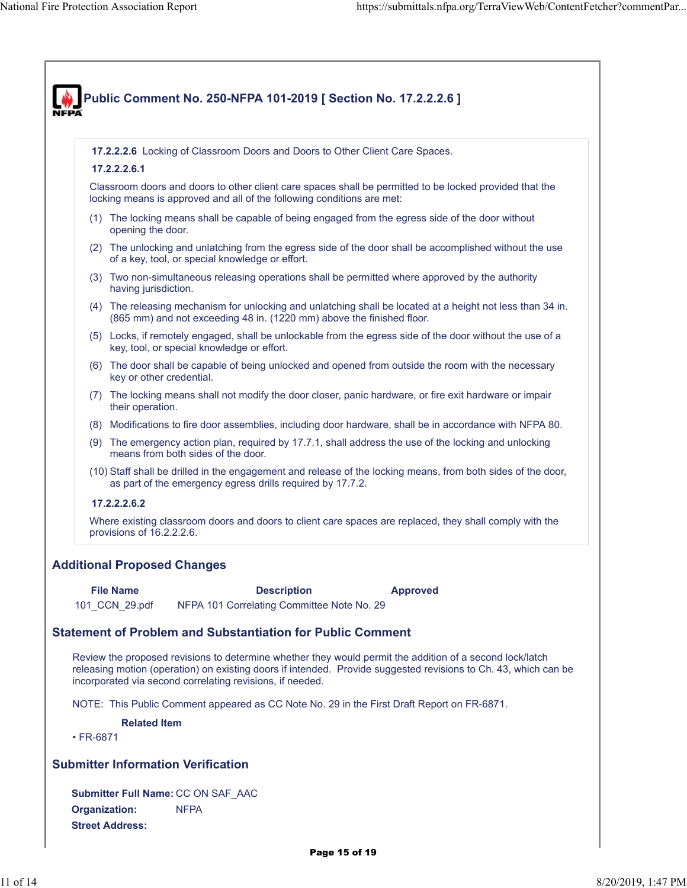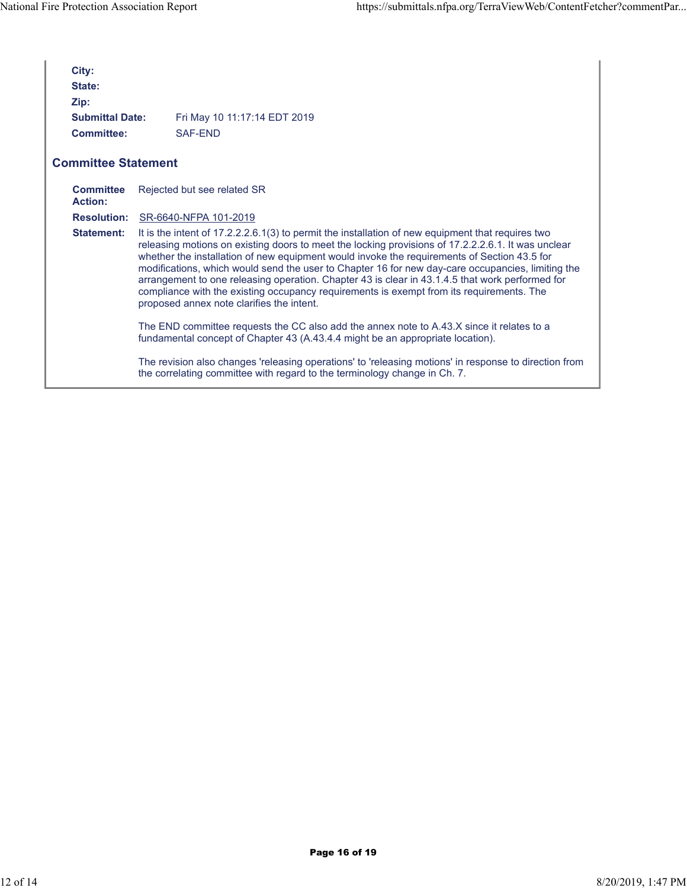| City:<br>State:<br>Zip:     |                                                                                                                                                                                                                                                                                                                                                                                                                                                                                                                                                                                                                                                         |
|-----------------------------|---------------------------------------------------------------------------------------------------------------------------------------------------------------------------------------------------------------------------------------------------------------------------------------------------------------------------------------------------------------------------------------------------------------------------------------------------------------------------------------------------------------------------------------------------------------------------------------------------------------------------------------------------------|
| <b>Submittal Date:</b>      | Fri May 10 11:17:14 EDT 2019                                                                                                                                                                                                                                                                                                                                                                                                                                                                                                                                                                                                                            |
| Committee:                  | SAF-FND                                                                                                                                                                                                                                                                                                                                                                                                                                                                                                                                                                                                                                                 |
| <b>Committee Statement</b>  |                                                                                                                                                                                                                                                                                                                                                                                                                                                                                                                                                                                                                                                         |
| <b>Committee</b><br>Action: | Rejected but see related SR                                                                                                                                                                                                                                                                                                                                                                                                                                                                                                                                                                                                                             |
|                             | <b>Resolution: SR-6640-NFPA 101-2019</b>                                                                                                                                                                                                                                                                                                                                                                                                                                                                                                                                                                                                                |
| <b>Statement:</b>           | It is the intent of 17.2.2.2.6.1(3) to permit the installation of new equipment that requires two<br>releasing motions on existing doors to meet the locking provisions of 17.2.2.2.6.1. It was unclear<br>whether the installation of new equipment would invoke the requirements of Section 43.5 for<br>modifications, which would send the user to Chapter 16 for new day-care occupancies, limiting the<br>arrangement to one releasing operation. Chapter 43 is clear in 43.1.4.5 that work performed for<br>compliance with the existing occupancy requirements is exempt from its requirements. The<br>proposed annex note clarifies the intent. |
|                             | The END committee requests the CC also add the annex note to A.43.X since it relates to a<br>fundamental concept of Chapter 43 (A.43.4.4 might be an appropriate location).                                                                                                                                                                                                                                                                                                                                                                                                                                                                             |
|                             | The revision also changes 'releasing operations' to 'releasing motions' in response to direction from<br>the correlating committee with regard to the terminology change in Ch. 7.                                                                                                                                                                                                                                                                                                                                                                                                                                                                      |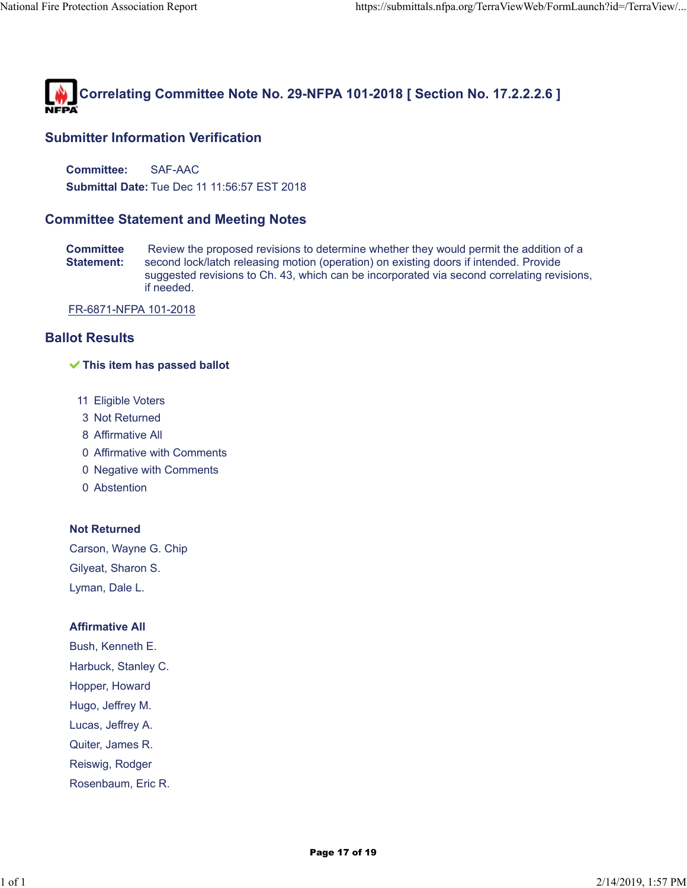

**Committee:** SAF-AAC

**Submittal Date:** Tue Dec 11 11:56:57 EST 2018

# **Committee Statement and Meeting Notes**

**Committee Statement:** Review the proposed revisions to determine whether they would permit the addition of a second lock/latch releasing motion (operation) on existing doors if intended. Provide suggested revisions to Ch. 43, which can be incorporated via second correlating revisions, if needed.

FR-6871-NFPA 101-2018

# **Ballot Results**

#### **This item has passed ballot**

- 11 Eligible Voters
- 3 Not Returned
- 8 Affirmative All
- 0 Affirmative with Comments
- 0 Negative with Comments
- 0 Abstention

### **Not Returned**

Carson, Wayne G. Chip Gilyeat, Sharon S. Lyman, Dale L.

#### **Affirmative All**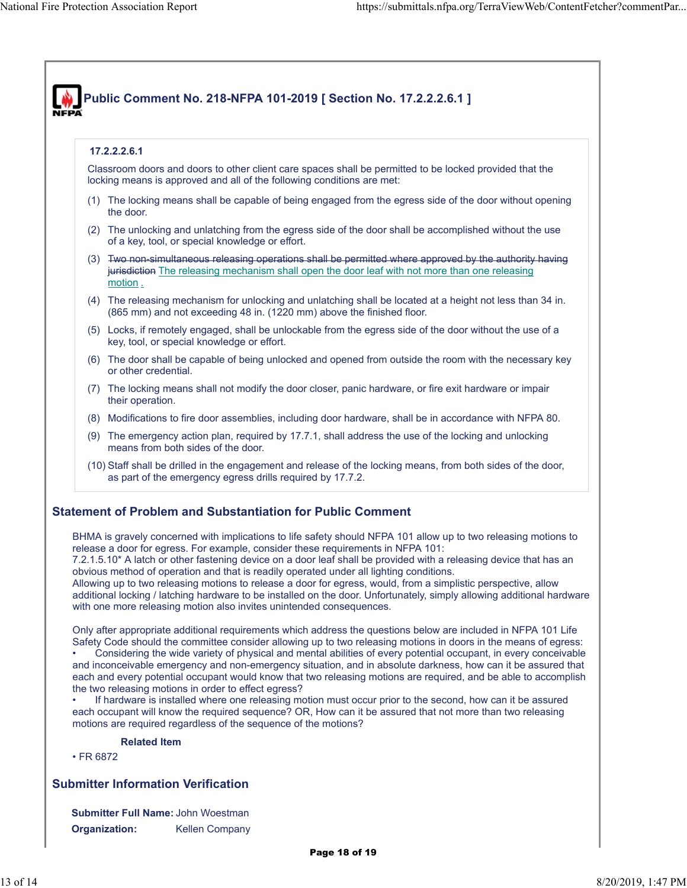